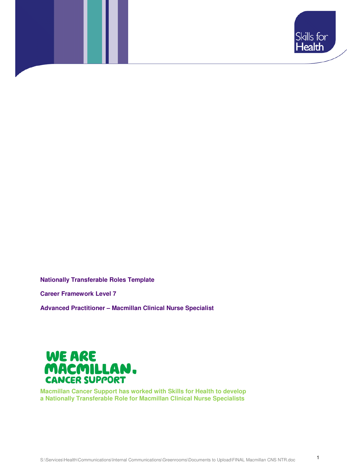



**Nationally Transferable Roles Template** 

**Career Framework Level 7** 

**Advanced Practitioner – Macmillan Clinical Nurse Specialist** 



**Macmillan Cancer Support has worked with Skills for Health to develop a Nationally Transferable Role for Macmillan Clinical Nurse Specialists**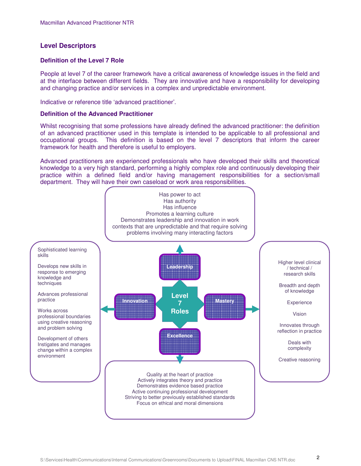## **Level Descriptors**

### **Definition of the Level 7 Role**

People at level 7 of the career framework have a critical awareness of knowledge issues in the field and at the interface between different fields. They are innovative and have a responsibility for developing and changing practice and/or services in a complex and unpredictable environment.

Indicative or reference title 'advanced practitioner'.

### **Definition of the Advanced Practitioner**

Whilst recognising that some professions have already defined the advanced practitioner: the definition of an advanced practitioner used in this template is intended to be applicable to all professional and occupational groups. This definition is based on the level 7 descriptors that inform the career framework for health and therefore is useful to employers.

Advanced practitioners are experienced professionals who have developed their skills and theoretical knowledge to a very high standard, performing a highly complex role and continuously developing their practice within a defined field and/or having management responsibilities for a section/small department. They will have their own caseload or work area responsibilities.

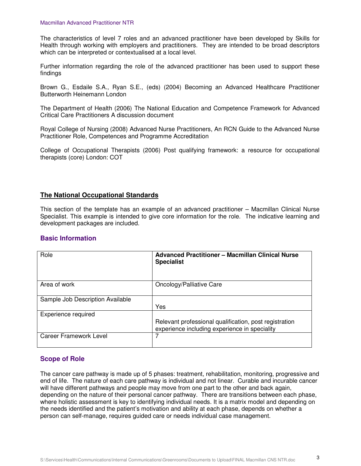The characteristics of level 7 roles and an advanced practitioner have been developed by Skills for Health through working with employers and practitioners. They are intended to be broad descriptors which can be interpreted or contextualised at a local level.

Further information regarding the role of the advanced practitioner has been used to support these findings

Brown G., Esdaile S.A., Ryan S.E., (eds) (2004) Becoming an Advanced Healthcare Practitioner Butterworth Heinemann London

The Department of Health (2006) The National Education and Competence Framework for Advanced Critical Care Practitioners A discussion document

Royal College of Nursing (2008) Advanced Nurse Practitioners, An RCN Guide to the Advanced Nurse Practitioner Role, Competences and Programme Accreditation

College of Occupational Therapists (2006) Post qualifying framework: a resource for occupational therapists (core) London: COT

### **The National Occupational Standards**

This section of the template has an example of an advanced practitioner – Macmillan Clinical Nurse Specialist. This example is intended to give core information for the role. The indicative learning and development packages are included.

### **Basic Information**

| Role                             | <b>Advanced Practitioner - Macmillan Clinical Nurse</b><br><b>Specialist</b>                            |
|----------------------------------|---------------------------------------------------------------------------------------------------------|
| Area of work                     | Oncology/Palliative Care                                                                                |
| Sample Job Description Available |                                                                                                         |
|                                  | Yes                                                                                                     |
| Experience required              |                                                                                                         |
|                                  | Relevant professional qualification, post registration<br>experience including experience in speciality |
| Career Framework Level           |                                                                                                         |

### **Scope of Role**

The cancer care pathway is made up of 5 phases: treatment, rehabilitation, monitoring, progressive and end of life. The nature of each care pathway is individual and not linear. Curable and incurable cancer will have different pathways and people may move from one part to the other and back again, depending on the nature of their personal cancer pathway. There are transitions between each phase, where holistic assessment is key to identifying individual needs. It is a matrix model and depending on the needs identified and the patient's motivation and ability at each phase, depends on whether a person can self-manage, requires guided care or needs individual case management.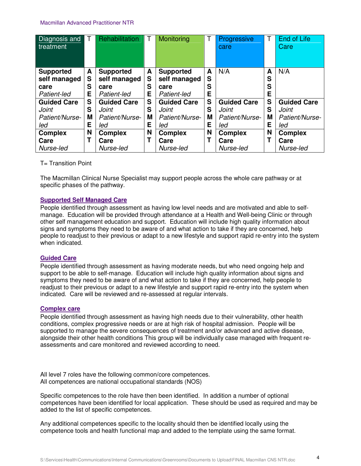| Diagnosis and<br>treatment               |             | <b>Rehabilitation</b>                    |             | Monitoring                               | T           | <b>Progressive</b><br>care | Τ           | <b>End of Life</b><br>Care |
|------------------------------------------|-------------|------------------------------------------|-------------|------------------------------------------|-------------|----------------------------|-------------|----------------------------|
| <b>Supported</b><br>self managed<br>care | A<br>S<br>S | <b>Supported</b><br>self managed<br>care | A<br>S<br>S | <b>Supported</b><br>self managed<br>care | A<br>S<br>S | N/A                        | A<br>S<br>S | N/A                        |
| Patient-led                              | E           | Patient-led                              | Е           | Patient-led                              | Е           |                            | Е           |                            |
| <b>Guided Care</b>                       | S           | <b>Guided Care</b>                       | S           | <b>Guided Care</b>                       | S           | <b>Guided Care</b>         | S           | <b>Guided Care</b>         |
| Joint                                    | S           | Joint                                    | S           | Joint                                    | S           | Joint                      | S           | Joint                      |
| Patient/Nurse-                           | M           | Patient/Nurse-                           | M           | Patient/Nurse-                           | M           | Patient/Nurse-             | M           | Patient/Nurse-             |
| led                                      | Е           | led                                      | Е           | led                                      | Е           | led                        | Е           | led                        |
| <b>Complex</b>                           | N           | <b>Complex</b>                           | N           | <b>Complex</b>                           | N           | <b>Complex</b>             | N           | <b>Complex</b>             |
| Care                                     |             | Care                                     |             | Care                                     | Τ           | Care                       | Т           | Care                       |
| Nurse-led                                |             | Nurse-led                                |             | Nurse-led                                |             | Nurse-led                  |             | Nurse-led                  |

T= Transition Point

The Macmillan Clinical Nurse Specialist may support people across the whole care pathway or at specific phases of the pathway.

### **Supported Self Managed Care**

People identified through assessment as having low level needs and are motivated and able to selfmanage. Education will be provided through attendance at a Health and Well-being Clinic or through other self management education and support. Education will include high quality information about signs and symptoms they need to be aware of and what action to take if they are concerned, help people to readjust to their previous or adapt to a new lifestyle and support rapid re-entry into the system when indicated.

### **Guided Care**

People identified through assessment as having moderate needs, but who need ongoing help and support to be able to self-manage. Education will include high quality information about signs and symptoms they need to be aware of and what action to take if they are concerned, help people to readjust to their previous or adapt to a new lifestyle and support rapid re-entry into the system when indicated. Care will be reviewed and re-assessed at regular intervals.

### **Complex care**

People identified through assessment as having high needs due to their vulnerability, other health conditions, complex progressive needs or are at high risk of hospital admission. People will be supported to manage the severe consequences of treatment and/or advanced and active disease, alongside their other health conditions This group will be individually case managed with frequent reassessments and care monitored and reviewed according to need.

All level 7 roles have the following common/core competences. All competences are national occupational standards (NOS)

Specific competences to the role have then been identified. In addition a number of optional competences have been identified for local application. These should be used as required and may be added to the list of specific competences.

Any additional competences specific to the locality should then be identified locally using the competence tools and health functional map and added to the template using the same format.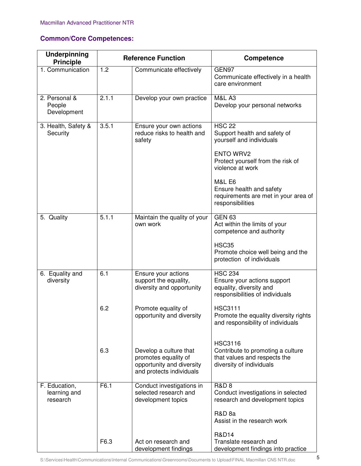# **Common/Core Competences:**

| <b>Underpinning</b><br><b>Principle</b>   |       | <b>Reference Function</b>                                                                               | Competence                                                                                                      |
|-------------------------------------------|-------|---------------------------------------------------------------------------------------------------------|-----------------------------------------------------------------------------------------------------------------|
| 1. Communication                          | 1.2   | Communicate effectively                                                                                 | GEN97<br>Communicate effectively in a health<br>care environment                                                |
| 2. Personal &<br>People<br>Development    | 2.1.1 | Develop your own practice                                                                               | <b>M&amp;L A3</b><br>Develop your personal networks                                                             |
| 3. Health, Safety &<br>Security           | 3.5.1 | Ensure your own actions<br>reduce risks to health and<br>safety                                         | <b>HSC 22</b><br>Support health and safety of<br>yourself and individuals                                       |
|                                           |       |                                                                                                         | <b>ENTO WRV2</b><br>Protect yourself from the risk of<br>violence at work                                       |
|                                           |       |                                                                                                         | <b>M&amp;L E6</b><br>Ensure health and safety<br>requirements are met in your area of<br>responsibilities       |
| 5. Quality                                | 5.1.1 | Maintain the quality of your<br>own work                                                                | <b>GEN 63</b><br>Act within the limits of your<br>competence and authority                                      |
|                                           |       |                                                                                                         | <b>HSC35</b><br>Promote choice well being and the<br>protection of individuals                                  |
| 6. Equality and<br>diversity              | 6.1   | Ensure your actions<br>support the equality,<br>diversity and opportunity                               | <b>HSC 234</b><br>Ensure your actions support<br>equality, diversity and<br>responsibilities of individuals     |
|                                           | 6.2   | Promote equality of<br>opportunity and diversity                                                        | <b>HSC3111</b><br>Promote the equality diversity rights<br>and responsibility of individuals                    |
|                                           | 6.3   | Develop a culture that<br>promotes equality of<br>opportunity and diversity<br>and protects individuals | <b>HSC3116</b><br>Contribute to promoting a culture<br>that values and respects the<br>diversity of individuals |
| F. Education,<br>learning and<br>research | F6.1  | Conduct investigations in<br>selected research and<br>development topics                                | <b>R&amp;D 8</b><br>Conduct investigations in selected<br>research and development topics                       |
|                                           |       |                                                                                                         | <b>R&amp;D 8a</b><br>Assist in the research work                                                                |
|                                           | F6.3  | Act on research and<br>development findings                                                             | <b>R&amp;D14</b><br>Translate research and<br>development findings into practice                                |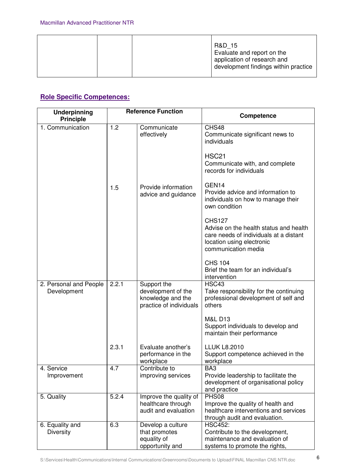|  |  |  | R&D 15<br>Evaluate and report on the<br>application of research and<br>development findings within practice |
|--|--|--|-------------------------------------------------------------------------------------------------------------|
|--|--|--|-------------------------------------------------------------------------------------------------------------|

# **Role Specific Competences:**

| <b>Underpinning</b><br><b>Principle</b> |       | <b>Reference Function</b>                                                         | Competence                                                                                                                                            |
|-----------------------------------------|-------|-----------------------------------------------------------------------------------|-------------------------------------------------------------------------------------------------------------------------------------------------------|
| 1. Communication                        | 1.2   | Communicate<br>effectively                                                        | CHS48<br>Communicate significant news to<br>individuals                                                                                               |
|                                         |       |                                                                                   | <b>HSC21</b><br>Communicate with, and complete<br>records for individuals                                                                             |
|                                         | 1.5   | Provide information<br>advice and guidance                                        | GEN14<br>Provide advice and information to<br>individuals on how to manage their<br>own condition                                                     |
|                                         |       |                                                                                   | <b>CHS127</b><br>Advise on the health status and health<br>care needs of individuals at a distant<br>location using electronic<br>communication media |
|                                         |       |                                                                                   | <b>CHS 104</b><br>Brief the team for an individual's<br>intervention                                                                                  |
| 2. Personal and People<br>Development   | 2.2.1 | Support the<br>development of the<br>knowledge and the<br>practice of individuals | <b>HSC43</b><br>Take responsibility for the continuing<br>professional development of self and<br>others                                              |
|                                         |       |                                                                                   | <b>M&amp;L D13</b><br>Support individuals to develop and<br>maintain their performance                                                                |
|                                         | 2.3.1 | Evaluate another's<br>performance in the<br>workplace                             | <b>LLUK L8.2010</b><br>Support competence achieved in the<br>workplace                                                                                |
| 4. Service<br>Improvement               | 4.7   | Contribute to<br>improving services                                               | BA <sub>3</sub><br>Provide leadership to facilitate the<br>development of organisational policy<br>and practice                                       |
| 5. Quality                              | 5.2.4 | Improve the quality of<br>healthcare through<br>audit and evaluation              | PHS08<br>Improve the quality of health and<br>healthcare interventions and services<br>through audit and evaluation.                                  |
| 6. Equality and<br><b>Diversity</b>     | 6.3   | Develop a culture<br>that promotes<br>equality of<br>opportunity and              | <b>HSC452:</b><br>Contribute to the development,<br>maintenance and evaluation of<br>systems to promote the rights,                                   |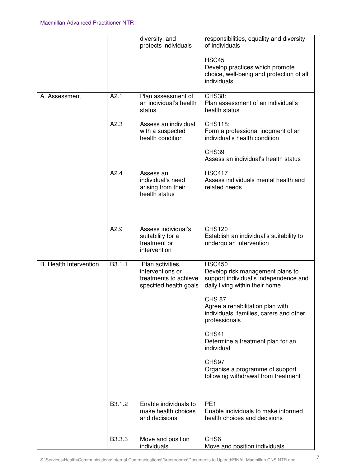|                               |                     | diversity, and<br>protects individuals                                                  | responsibilities, equality and diversity<br>of individuals<br><b>HSC45</b><br>Develop practices which promote<br>choice, well-being and protection of all<br>individuals |
|-------------------------------|---------------------|-----------------------------------------------------------------------------------------|--------------------------------------------------------------------------------------------------------------------------------------------------------------------------|
| A. Assessment                 | A2.1                | Plan assessment of<br>an individual's health<br>status                                  | <b>CHS38:</b><br>Plan assessment of an individual's<br>health status                                                                                                     |
|                               | A2.3                | Assess an individual<br>with a suspected<br>health condition                            | <b>CHS118:</b><br>Form a professional judgment of an<br>individual's health condition                                                                                    |
|                               |                     |                                                                                         | <b>CHS39</b><br>Assess an individual's health status                                                                                                                     |
|                               | A2.4                | Assess an<br>individual's need<br>arising from their<br>health status                   | <b>HSC417</b><br>Assess individuals mental health and<br>related needs                                                                                                   |
|                               | A2.9                | Assess individual's<br>suitability for a<br>treatment or<br>intervention                | <b>CHS120</b><br>Establish an individual's suitability to<br>undergo an intervention                                                                                     |
| <b>B.</b> Health Intervention | B3.1.1              | Plan activities,<br>interventions or<br>treatments to achieve<br>specified health goals | <b>HSC450</b><br>Develop risk management plans to<br>support individual's independence and<br>daily living within their home                                             |
|                               |                     |                                                                                         | <b>CHS 87</b><br>Agree a rehabilitation plan with<br>individuals, families, carers and other<br>professionals                                                            |
|                               |                     |                                                                                         | CHS41<br>Determine a treatment plan for an<br>individual                                                                                                                 |
|                               |                     |                                                                                         | CHS97<br>Organise a programme of support<br>following withdrawal from treatment                                                                                          |
|                               | B3.1.2              | Enable individuals to<br>make health choices<br>and decisions                           | PE <sub>1</sub><br>Enable individuals to make informed<br>health choices and decisions                                                                                   |
|                               | B <sub>3.3</sub> .3 | Move and position<br>individuals                                                        | CHS <sub>6</sub><br>Move and position individuals                                                                                                                        |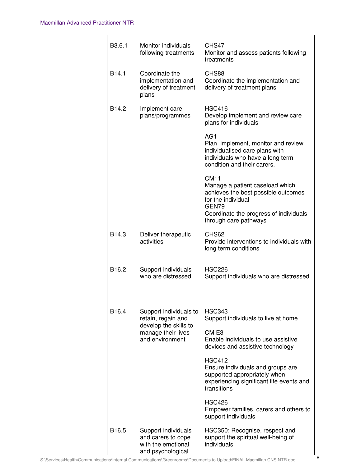| B3.6.1            | Monitor individuals<br>following treatments                                                                    | CHS47<br>Monitor and assess patients following<br>treatments                                                                                                                            |
|-------------------|----------------------------------------------------------------------------------------------------------------|-----------------------------------------------------------------------------------------------------------------------------------------------------------------------------------------|
| B <sub>14.1</sub> | Coordinate the<br>implementation and<br>delivery of treatment<br>plans                                         | CHS88<br>Coordinate the implementation and<br>delivery of treatment plans                                                                                                               |
| B <sub>14.2</sub> | Implement care<br>plans/programmes                                                                             | <b>HSC416</b><br>Develop implement and review care<br>plans for individuals                                                                                                             |
|                   |                                                                                                                | AG1<br>Plan, implement, monitor and review<br>individualised care plans with<br>individuals who have a long term<br>condition and their carers.                                         |
|                   |                                                                                                                | <b>CM11</b><br>Manage a patient caseload which<br>achieves the best possible outcomes<br>for the individual<br>GEN79<br>Coordinate the progress of individuals<br>through care pathways |
| B14.3             | Deliver therapeutic<br>activities                                                                              | CHS62<br>Provide interventions to individuals with<br>long term conditions                                                                                                              |
| B <sub>16.2</sub> | Support individuals<br>who are distressed                                                                      | <b>HSC226</b><br>Support individuals who are distressed                                                                                                                                 |
| B <sub>16.4</sub> | Support individuals to<br>retain, regain and<br>develop the skills to<br>manage their lives<br>and environment | <b>HSC343</b><br>Support individuals to live at home<br>CM <sub>E3</sub><br>Enable individuals to use assistive<br>devices and assistive technology                                     |
|                   |                                                                                                                | <b>HSC412</b><br>Ensure individuals and groups are<br>supported appropriately when<br>experiencing significant life events and<br>transitions                                           |
|                   |                                                                                                                | <b>HSC426</b><br>Empower families, carers and others to<br>support individuals                                                                                                          |
| B <sub>16.5</sub> | Support individuals<br>and carers to cope<br>with the emotional<br>and psychological                           | HSC350: Recognise, respect and<br>support the spiritual well-being of<br>individuals                                                                                                    |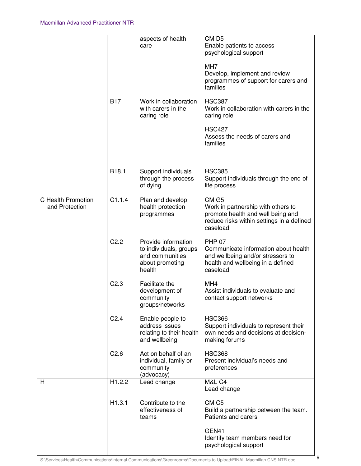|                                      |                     | aspects of health<br>care                                                                     | CM <sub>D5</sub><br>Enable patients to access<br>psychological support<br>MH <sub>7</sub><br>Develop, implement and review<br>programmes of support for carers and<br>families |
|--------------------------------------|---------------------|-----------------------------------------------------------------------------------------------|--------------------------------------------------------------------------------------------------------------------------------------------------------------------------------|
|                                      | <b>B17</b>          | Work in collaboration<br>with carers in the<br>caring role                                    | <b>HSC387</b><br>Work in collaboration with carers in the<br>caring role                                                                                                       |
|                                      |                     |                                                                                               | <b>HSC427</b><br>Assess the needs of carers and<br>families                                                                                                                    |
|                                      | B18.1               | Support individuals<br>through the process<br>of dying                                        | <b>HSC385</b><br>Support individuals through the end of<br>life process                                                                                                        |
| C Health Promotion<br>and Protection | $\overline{C1.1.4}$ | Plan and develop<br>health protection<br>programmes                                           | CM G5<br>Work in partnership with others to<br>promote health and well being and<br>reduce risks within settings in a defined<br>caseload                                      |
|                                      | C <sub>2.2</sub>    | Provide information<br>to individuals, groups<br>and communities<br>about promoting<br>health | <b>PHP 07</b><br>Communicate information about health<br>and wellbeing and/or stressors to<br>health and wellbeing in a defined<br>caseload                                    |
|                                      | C <sub>2.3</sub>    | Facilitate the<br>development of<br>community<br>groups/networks                              | MH4<br>Assist individuals to evaluate and<br>contact support networks                                                                                                          |
|                                      | C <sub>2.4</sub>    | Enable people to<br>address issues<br>relating to their health<br>and wellbeing               | <b>HSC366</b><br>Support individuals to represent their<br>own needs and decisions at decision-<br>making forums                                                               |
|                                      | C2.6                | Act on behalf of an<br>individual, family or<br>community<br>(advocacy)                       | <b>HSC368</b><br>Present individual's needs and<br>preferences                                                                                                                 |
| H                                    | H <sub>1.2.2</sub>  | Lead change                                                                                   | <b>M&amp;L C4</b><br>Lead change                                                                                                                                               |
|                                      | H1.3.1              | Contribute to the<br>effectiveness of<br>teams                                                | CM <sub>C5</sub><br>Build a partnership between the team.<br>Patients and carers                                                                                               |
|                                      |                     |                                                                                               | GEN41<br>Identify team members need for<br>psychological support                                                                                                               |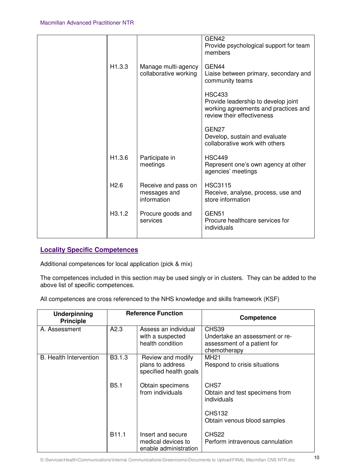|                    |                                                    | GEN <sub>42</sub><br>Provide psychological support for team<br>members                                                     |
|--------------------|----------------------------------------------------|----------------------------------------------------------------------------------------------------------------------------|
| H <sub>1.3.3</sub> | Manage multi-agency<br>collaborative working       | GEN44<br>Liaise between primary, secondary and<br>community teams                                                          |
|                    |                                                    | <b>HSC433</b><br>Provide leadership to develop joint<br>working agreements and practices and<br>review their effectiveness |
|                    |                                                    | GEN <sub>27</sub><br>Develop, sustain and evaluate<br>collaborative work with others                                       |
| H <sub>1.3.6</sub> | Participate in<br>meetings                         | <b>HSC449</b><br>Represent one's own agency at other<br>agencies' meetings                                                 |
| H <sub>2.6</sub>   | Receive and pass on<br>messages and<br>information | <b>HSC3115</b><br>Receive, analyse, process, use and<br>store information                                                  |
| H3.1.2             | Procure goods and<br>services                      | GEN <sub>51</sub><br>Procure healthcare services for<br>individuals                                                        |

# **Locality Specific Competences**

Additional competences for local application (pick & mix)

The competences included in this section may be used singly or in clusters. They can be added to the above list of specific competences.

All competences are cross referenced to the NHS knowledge and skills framework (KSF)

| Underpinning<br><b>Principle</b> |                     | <b>Reference Function</b>                                        | <b>Competence</b>                                                                      |
|----------------------------------|---------------------|------------------------------------------------------------------|----------------------------------------------------------------------------------------|
| A. Assessment                    | A2.3                | Assess an individual<br>with a suspected<br>health condition     | CHS39<br>Undertake an assessment or re-<br>assessment of a patient for<br>chemotherapy |
| <b>B.</b> Health Intervention    | B <sub>3</sub> .1.3 | Review and modify<br>plans to address<br>specified health goals  | MH <sub>21</sub><br>Respond to crisis situations                                       |
|                                  | <b>B5.1</b>         | Obtain specimens<br>from individuals                             | CHS7<br>Obtain and test specimens from<br>individuals                                  |
|                                  |                     |                                                                  | <b>CHS132</b><br>Obtain venous blood samples                                           |
|                                  | B <sub>11.1</sub>   | Insert and secure<br>medical devices to<br>enable administration | CHS <sub>22</sub><br>Perform intravenous cannulation                                   |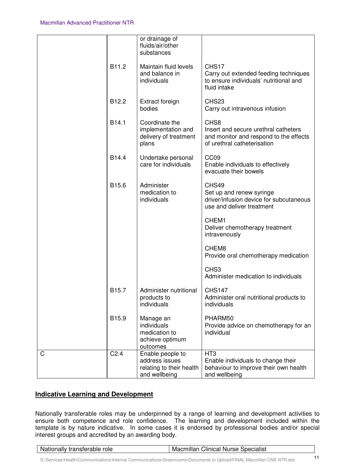|   |                   | or drainage of<br>fluids/air/other<br>substances                                |                                                                                                                       |
|---|-------------------|---------------------------------------------------------------------------------|-----------------------------------------------------------------------------------------------------------------------|
|   | B11.2             | Maintain fluid levels<br>and balance in<br>individuals                          | CHS <sub>17</sub><br>Carry out extended feeding techniques<br>to ensure individuals' nutritional and<br>fluid intake  |
|   | B <sub>12.2</sub> | Extract foreign<br>bodies                                                       | CHS <sub>23</sub><br>Carry out intravenous infusion                                                                   |
|   | B <sub>14.1</sub> | Coordinate the<br>implementation and<br>delivery of treatment<br>plans          | CHS8<br>Insert and secure urethral catheters<br>and monitor and respond to the effects<br>of urethral catheterisation |
|   | B14.4             | Undertake personal<br>care for individuals                                      | CC <sub>09</sub><br>Enable individuals to effectively<br>evacuate their bowels                                        |
|   | B15.6             | Administer<br>medication to<br>individuals                                      | CHS49<br>Set up and renew syringe<br>driver/infusion device for subcutaneous<br>use and deliver treatment             |
|   |                   |                                                                                 | CHEM <sub>1</sub><br>Deliver chemotherapy treatment<br>intravenously                                                  |
|   |                   |                                                                                 | CHEM8<br>Provide oral chemotherapy medication                                                                         |
|   |                   |                                                                                 | CHS <sub>3</sub><br>Administer medication to individuals                                                              |
|   | B15.7             | Administer nutritional<br>products to<br>individuals                            | <b>CHS147</b><br>Administer oral nutritional products to<br>individuals                                               |
|   | B <sub>15.9</sub> | Manage an<br>individuals<br>medication to<br>achieve optimum<br>outcomes        | PHARM50<br>Provide advice on chemotherapy for an<br>individual                                                        |
| C | C <sub>2.4</sub>  | Enable people to<br>address issues<br>relating to their health<br>and wellbeing | HT <sub>3</sub><br>Enable individuals to change their<br>behaviour to improve their own health<br>and wellbeing       |

## **Indicative Learning and Development**

Nationally transferable roles may be underpinned by a range of learning and development activities to ensure both competence and role confidence. The learning and development included within the template is by nature indicative. In some cases it is endorsed by professional bodies and/or special interest groups and accredited by an awarding body.

| Nationally transferable role | I Macmillan Clinical Nurse Specialist |
|------------------------------|---------------------------------------|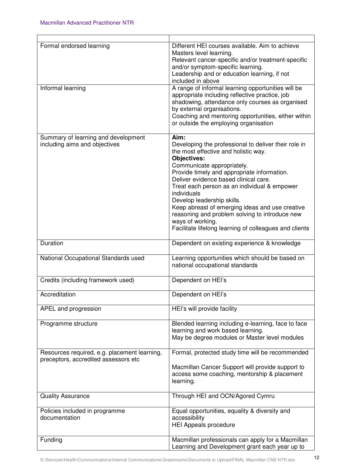| Formal endorsed learning                                                             | Different HEI courses available. Aim to achieve<br>Masters level learning.<br>Relevant cancer-specific and/or treatment-specific<br>and/or symptom-specific learning.<br>Leadership and or education learning, if not<br>included in above                                                                                                                                                                                                                                                                                       |
|--------------------------------------------------------------------------------------|----------------------------------------------------------------------------------------------------------------------------------------------------------------------------------------------------------------------------------------------------------------------------------------------------------------------------------------------------------------------------------------------------------------------------------------------------------------------------------------------------------------------------------|
| Informal learning                                                                    | A range of informal learning opportunities will be<br>appropriate including reflective practice, job<br>shadowing, attendance only courses as organised<br>by external organisations.<br>Coaching and mentoring opportunities, either within<br>or outside the employing organisation                                                                                                                                                                                                                                            |
| Summary of learning and development<br>including aims and objectives                 | Aim:<br>Developing the professional to deliver their role in<br>the most effective and holistic way.<br><b>Objectives:</b><br>Communicate appropriately.<br>Provide timely and appropriate information.<br>Deliver evidence based clinical care.<br>Treat each person as an individual & empower<br>individuals<br>Develop leadership skills.<br>Keep abreast of emerging ideas and use creative<br>reasoning and problem solving to introduce new<br>ways of working.<br>Facilitate lifelong learning of colleagues and clients |
| Duration                                                                             | Dependent on existing experience & knowledge                                                                                                                                                                                                                                                                                                                                                                                                                                                                                     |
| National Occupational Standards used                                                 | Learning opportunities which should be based on<br>national occupational standards                                                                                                                                                                                                                                                                                                                                                                                                                                               |
| Credits (including framework used)                                                   | Dependent on HEI's                                                                                                                                                                                                                                                                                                                                                                                                                                                                                                               |
| Accreditation                                                                        | Dependent on HEI's                                                                                                                                                                                                                                                                                                                                                                                                                                                                                                               |
| APEL and progression                                                                 | HEI's will provide facility                                                                                                                                                                                                                                                                                                                                                                                                                                                                                                      |
| Programme structure                                                                  | Blended learning including e-learning, face to face<br>learning and work based learning.<br>May be degree modules or Master level modules                                                                                                                                                                                                                                                                                                                                                                                        |
| Resources required, e.g. placement learning,<br>preceptors, accredited assessors etc | Formal, protected study time will be recommended<br>Macmillan Cancer Support will provide support to<br>access some coaching, mentorship & placement<br>learning.                                                                                                                                                                                                                                                                                                                                                                |
| <b>Quality Assurance</b>                                                             | Through HEI and OCN/Agored Cymru                                                                                                                                                                                                                                                                                                                                                                                                                                                                                                 |
| Policies included in programme<br>documentation                                      | Equal opportunities, equality & diversity and<br>accessibility<br><b>HEI Appeals procedure</b>                                                                                                                                                                                                                                                                                                                                                                                                                                   |
| Funding                                                                              | Macmillan professionals can apply for a Macmillan<br>Learning and Development grant each year up to                                                                                                                                                                                                                                                                                                                                                                                                                              |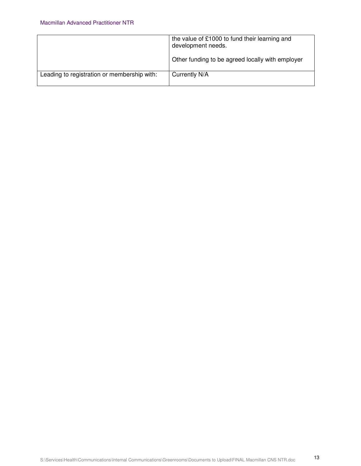|                                             | the value of £1000 to fund their learning and<br>development needs. |
|---------------------------------------------|---------------------------------------------------------------------|
|                                             | Other funding to be agreed locally with employer                    |
| Leading to registration or membership with: | Currently N/A                                                       |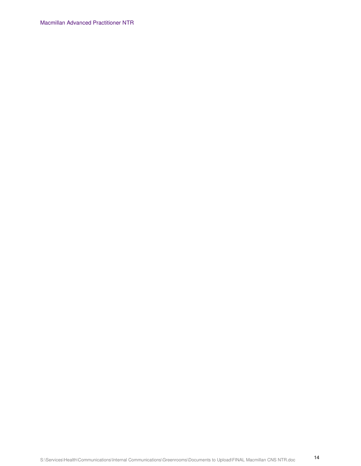Macmillan Advanced Practitioner NTR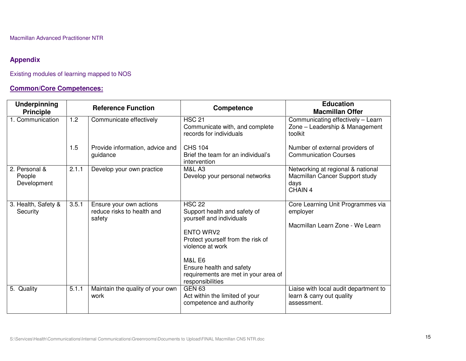# **Appendix**

## Existing modules of learning mapped to NOS

# **Common/Core Competences:**

| <b>Underpinning</b><br><b>Principle</b> | <b>Reference Function</b> |                                                                 | Competence                                                                                                                                                                                                                                                          |                                                                                                   |
|-----------------------------------------|---------------------------|-----------------------------------------------------------------|---------------------------------------------------------------------------------------------------------------------------------------------------------------------------------------------------------------------------------------------------------------------|---------------------------------------------------------------------------------------------------|
| 1. Communication                        | 1.2                       | Communicate effectively                                         | <b>HSC 21</b><br>Communicate with, and complete<br>records for individuals                                                                                                                                                                                          | Communicating effectively - Learn<br>Zone - Leadership & Management<br>toolkit                    |
|                                         | 1.5                       | Provide information, advice and<br>guidance                     | <b>CHS 104</b><br>Brief the team for an individual's<br>intervention                                                                                                                                                                                                | Number of external providers of<br><b>Communication Courses</b>                                   |
| 2. Personal &<br>People<br>Development  | 2.1.1                     | Develop your own practice                                       | <b>M&amp;L A3</b><br>Develop your personal networks                                                                                                                                                                                                                 | Networking at regional & national<br>Macmillan Cancer Support study<br>days<br>CHAIN <sub>4</sub> |
| 3. Health, Safety &<br>Security         | 3.5.1                     | Ensure your own actions<br>reduce risks to health and<br>safety | <b>HSC 22</b><br>Support health and safety of<br>yourself and individuals<br><b>ENTO WRV2</b><br>Protect yourself from the risk of<br>violence at work<br><b>M&amp;L E6</b><br>Ensure health and safety<br>requirements are met in your area of<br>responsibilities | Core Learning Unit Programmes via<br>employer<br>Macmillan Learn Zone - We Learn                  |
| 5. Quality                              | 5.1.1                     | Maintain the quality of your own<br>work                        | <b>GEN 63</b><br>Act within the limited of your<br>competence and authority                                                                                                                                                                                         | Liaise with local audit department to<br>learn & carry out quality<br>assessment.                 |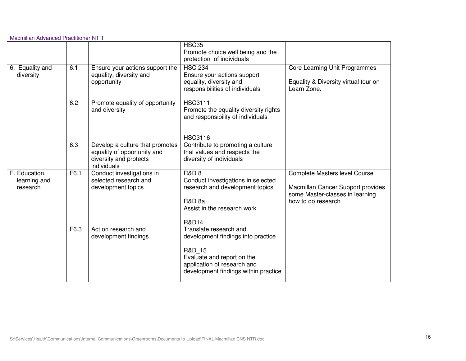| <b>Macmillan Advanced Practitioner NTR</b> |      |                                                                                                         |                                                                                                                                                                             |                                                                                                                                    |  |  |
|--------------------------------------------|------|---------------------------------------------------------------------------------------------------------|-----------------------------------------------------------------------------------------------------------------------------------------------------------------------------|------------------------------------------------------------------------------------------------------------------------------------|--|--|
|                                            |      |                                                                                                         | <b>HSC35</b><br>Promote choice well being and the<br>protection of individuals                                                                                              |                                                                                                                                    |  |  |
| 6. Equality and<br>diversity               | 6.1  | Ensure your actions support the<br>equality, diversity and<br>opportunity                               | <b>HSC 234</b><br>Ensure your actions support<br>equality, diversity and<br>responsibilities of individuals                                                                 | Core Learning Unit Programmes<br>Equality & Diversity virtual tour on<br>Learn Zone.                                               |  |  |
|                                            | 6.2  | Promote equality of opportunity<br>and diversity                                                        | <b>HSC3111</b><br>Promote the equality diversity rights<br>and responsibility of individuals                                                                                |                                                                                                                                    |  |  |
|                                            | 6.3  | Develop a culture that promotes<br>equality of opportunity and<br>diversity and protects<br>individuals | <b>HSC3116</b><br>Contribute to promoting a culture<br>that values and respects the<br>diversity of individuals                                                             |                                                                                                                                    |  |  |
| F. Education,<br>learning and<br>research  | F6.1 | Conduct investigations in<br>selected research and<br>development topics                                | <b>R&amp;D 8</b><br>Conduct investigations in selected<br>research and development topics<br>R&D 8a<br>Assist in the research work<br><b>R&amp;D14</b>                      | <b>Complete Masters level Course</b><br>Macmillan Cancer Support provides<br>some Master-classes in learning<br>how to do research |  |  |
|                                            | F6.3 | Act on research and<br>development findings                                                             | Translate research and<br>development findings into practice<br>R&D 15<br>Evaluate and report on the<br>application of research and<br>development findings within practice |                                                                                                                                    |  |  |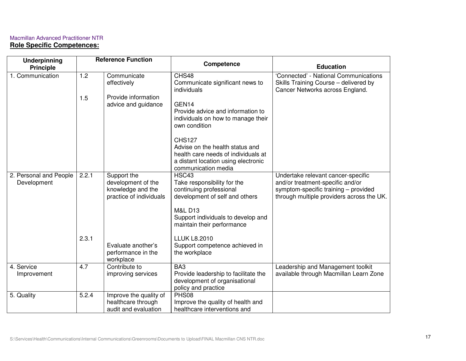## Macmillan Advanced Practitioner NTR **Role Specific Competences:**

| Underpinning<br><b>Principle</b>      | <b>Reference Function</b> |                                                                                   | <b>Competence</b>                                                                                                                                                                                  | <b>Education</b>                                                                                                                                            |  |
|---------------------------------------|---------------------------|-----------------------------------------------------------------------------------|----------------------------------------------------------------------------------------------------------------------------------------------------------------------------------------------------|-------------------------------------------------------------------------------------------------------------------------------------------------------------|--|
| 1. Communication                      | 1.2                       | Communicate<br>effectively                                                        | CHS48<br>Communicate significant news to<br>individuals                                                                                                                                            | 'Connected' - National Communications<br>Skills Training Course - delivered by<br>Cancer Networks across England.                                           |  |
|                                       | 1.5                       | Provide information<br>advice and guidance                                        | GEN14<br>Provide advice and information to<br>individuals on how to manage their<br>own condition                                                                                                  |                                                                                                                                                             |  |
|                                       |                           |                                                                                   | <b>CHS127</b><br>Advise on the health status and<br>health care needs of individuals at<br>a distant location using electronic<br>communication media                                              |                                                                                                                                                             |  |
| 2. Personal and People<br>Development | 2.2.1                     | Support the<br>development of the<br>knowledge and the<br>practice of individuals | <b>HSC43</b><br>Take responsibility for the<br>continuing professional<br>development of self and others<br><b>M&amp;L D13</b><br>Support individuals to develop and<br>maintain their performance | Undertake relevant cancer-specific<br>and/or treatment-specific and/or<br>symptom-specific training - provided<br>through multiple providers across the UK. |  |
|                                       | 2.3.1                     | Evaluate another's<br>performance in the<br>workplace                             | <b>LLUK L8.2010</b><br>Support competence achieved in<br>the workplace                                                                                                                             |                                                                                                                                                             |  |
| 4. Service<br>Improvement             | 4.7                       | Contribute to<br>improving services                                               | BA <sub>3</sub><br>Provide leadership to facilitate the<br>development of organisational<br>policy and practice                                                                                    | Leadership and Management toolkit<br>available through Macmillan Learn Zone                                                                                 |  |
| 5. Quality                            | 5.2.4                     | Improve the quality of<br>healthcare through<br>audit and evaluation              | PHS <sub>08</sub><br>Improve the quality of health and<br>healthcare interventions and                                                                                                             |                                                                                                                                                             |  |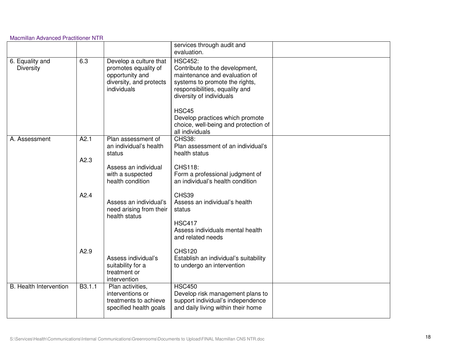| <b>Macmillan Advanced Practitioner NTR</b> |        |                                           |                                                                       |  |
|--------------------------------------------|--------|-------------------------------------------|-----------------------------------------------------------------------|--|
|                                            |        |                                           | services through audit and                                            |  |
|                                            |        |                                           | evaluation.                                                           |  |
| 6. Equality and                            | 6.3    | Develop a culture that                    | <b>HSC452:</b>                                                        |  |
| Diversity                                  |        | promotes equality of                      | Contribute to the development,                                        |  |
|                                            |        | opportunity and                           | maintenance and evaluation of                                         |  |
|                                            |        | diversity, and protects                   | systems to promote the rights,                                        |  |
|                                            |        | individuals                               | responsibilities, equality and                                        |  |
|                                            |        |                                           | diversity of individuals                                              |  |
|                                            |        |                                           | <b>HSC45</b>                                                          |  |
|                                            |        |                                           | Develop practices which promote                                       |  |
|                                            |        |                                           | choice, well-being and protection of                                  |  |
|                                            |        |                                           | all individuals                                                       |  |
| A. Assessment                              | A2.1   | Plan assessment of                        | <b>CHS38:</b>                                                         |  |
|                                            |        | an individual's health                    | Plan assessment of an individual's                                    |  |
|                                            |        | status                                    | health status                                                         |  |
|                                            | A2.3   |                                           |                                                                       |  |
|                                            |        | Assess an individual                      | CHS118:                                                               |  |
|                                            |        | with a suspected<br>health condition      | Form a professional judgment of<br>an individual's health condition   |  |
|                                            |        |                                           |                                                                       |  |
|                                            | A2.4   |                                           | CHS39                                                                 |  |
|                                            |        | Assess an individual's                    | Assess an individual's health                                         |  |
|                                            |        | need arising from their                   | status                                                                |  |
|                                            |        | health status                             |                                                                       |  |
|                                            |        |                                           | <b>HSC417</b>                                                         |  |
|                                            |        |                                           | Assess individuals mental health<br>and related needs                 |  |
|                                            |        |                                           |                                                                       |  |
|                                            | A2.9   |                                           | <b>CHS120</b>                                                         |  |
|                                            |        | Assess individual's                       | Establish an individual's suitability                                 |  |
|                                            |        | suitability for a                         | to undergo an intervention                                            |  |
|                                            |        | treatment or                              |                                                                       |  |
|                                            |        | intervention                              |                                                                       |  |
| <b>B.</b> Health Intervention              | B3.1.1 | Plan activities,                          | <b>HSC450</b>                                                         |  |
|                                            |        | interventions or<br>treatments to achieve | Develop risk management plans to<br>support individual's independence |  |
|                                            |        | specified health goals                    | and daily living within their home                                    |  |
|                                            |        |                                           |                                                                       |  |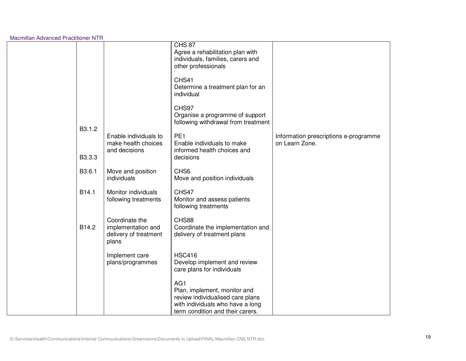|                  |                                                                        | <b>CHS 87</b><br>Agree a rehabilitation plan with<br>individuals, families, carers and<br>other professionals                                   |                                                         |
|------------------|------------------------------------------------------------------------|-------------------------------------------------------------------------------------------------------------------------------------------------|---------------------------------------------------------|
|                  |                                                                        | CHS41<br>Determine a treatment plan for an<br>individual                                                                                        |                                                         |
|                  |                                                                        | CHS97<br>Organise a programme of support<br>following withdrawal from treatment                                                                 |                                                         |
| B3.1.2<br>B3.3.3 | Enable individuals to<br>make health choices<br>and decisions          | PE <sub>1</sub><br>Enable individuals to make<br>informed health choices and<br>decisions                                                       | Information prescriptions e-programme<br>on Learn Zone. |
| B3.6.1           | Move and position<br>individuals                                       | CHS <sub>6</sub>                                                                                                                                |                                                         |
| B14.1            | Monitor individuals<br>following treatments                            | Move and position individuals<br>CHS47<br>Monitor and assess patients<br>following treatments                                                   |                                                         |
| B14.2            | Coordinate the<br>implementation and<br>delivery of treatment<br>plans | CHS88<br>Coordinate the implementation and<br>delivery of treatment plans                                                                       |                                                         |
|                  | Implement care<br>plans/programmes                                     | <b>HSC416</b><br>Develop implement and review<br>care plans for individuals                                                                     |                                                         |
|                  |                                                                        | AG1<br>Plan, implement, monitor and<br>review individualised care plans<br>with individuals who have a long<br>term condition and their carers. |                                                         |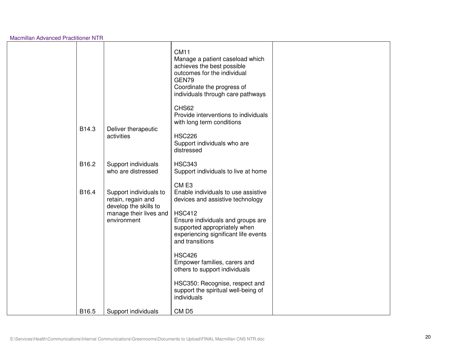## Macmillan Advanced Practitioner NTR

|       |                                                                                                                | <b>CM11</b><br>Manage a patient caseload which<br>achieves the best possible<br>outcomes for the individual<br>GEN79<br>Coordinate the progress of<br>individuals through care pathways                                                                                                                                                                                                                                |  |
|-------|----------------------------------------------------------------------------------------------------------------|------------------------------------------------------------------------------------------------------------------------------------------------------------------------------------------------------------------------------------------------------------------------------------------------------------------------------------------------------------------------------------------------------------------------|--|
| B14.3 | Deliver therapeutic<br>activities                                                                              | CHS62<br>Provide interventions to individuals<br>with long term conditions<br><b>HSC226</b><br>Support individuals who are<br>distressed                                                                                                                                                                                                                                                                               |  |
| B16.2 | Support individuals<br>who are distressed                                                                      | <b>HSC343</b><br>Support individuals to live at home                                                                                                                                                                                                                                                                                                                                                                   |  |
| B16.4 | Support individuals to<br>retain, regain and<br>develop the skills to<br>manage their lives and<br>environment | CM <sub>E3</sub><br>Enable individuals to use assistive<br>devices and assistive technology<br><b>HSC412</b><br>Ensure individuals and groups are<br>supported appropriately when<br>experiencing significant life events<br>and transitions<br><b>HSC426</b><br>Empower families, carers and<br>others to support individuals<br>HSC350: Recognise, respect and<br>support the spiritual well-being of<br>individuals |  |
| B16.5 | Support individuals                                                                                            | CM <sub>D5</sub>                                                                                                                                                                                                                                                                                                                                                                                                       |  |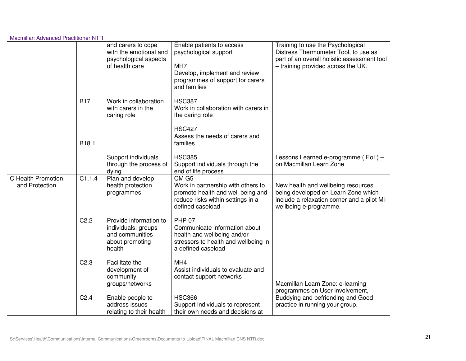Macmillan Advanced Practitioner NTR B17 B18.1 and carers to cope with the emotional and psychological aspects of health care Work in collaboration with carers in the caring role Support individuals through the process of dying Plan and develop Enable patients to access psychological support MH<sub>7</sub> Develop, implement and review programmes of support for carers and families HSC387 Work in collaboration with carers in the caring role HSC427 Assess the needs of carers and families HSC385 Support individuals through the end of life process Training to use the Psychological Distress Thermometer Tool, to use as part of an overall holistic assessment tool – training provided across the UK. Lessons Learned e-programme ( EoL) – on Macmillan Learn Zone C Health Promotion and Protection C1.1.4 C2.2 C2.3 C2.4 health protection programmes Provide information to individuals, groups and communities about promoting health Facilitate the development of community groups/networks Enable people to address issues relating to their health CM G5 Work in partnership with others to promote health and well being and reduce risks within settings in a defined caseload PHP 07 Communicate information about health and wellbeing and/or stressors to health and wellbeing in a defined caseload M<sub>H4</sub> Assist individuals to evaluate and contact support networks HSC366 Support individuals to represent their own needs and decisions at New health and wellbeing resources being developed on Learn Zone which include a relaxation corner and a pilot Miwellbeing e-programme. Macmillan Learn Zone: e-learning programmes on User involvement, Buddying and befriending and Good practice in running your group.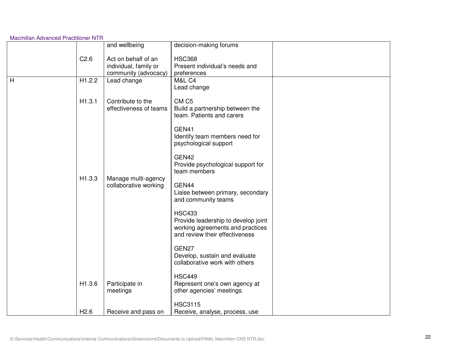| <b>Macmillan Advanced Practitioner NTR</b> |                  |                                                                      |                                                                                                                            |  |
|--------------------------------------------|------------------|----------------------------------------------------------------------|----------------------------------------------------------------------------------------------------------------------------|--|
|                                            |                  | and wellbeing                                                        | decision-making forums                                                                                                     |  |
|                                            | C2.6             | Act on behalf of an<br>individual, family or<br>community (advocacy) | <b>HSC368</b><br>Present individual's needs and<br>preferences                                                             |  |
| Н                                          | H1.2.2           | Lead change                                                          | <b>M&amp;L C4</b><br>Lead change                                                                                           |  |
|                                            | H1.3.1           | Contribute to the<br>effectiveness of teams                          | CM <sub>C5</sub><br>Build a partnership between the<br>team. Patients and carers                                           |  |
|                                            |                  |                                                                      | GEN41<br>Identify team members need for<br>psychological support                                                           |  |
|                                            | H1.3.3           | Manage multi-agency                                                  | GEN42<br>Provide psychological support for<br>team members                                                                 |  |
|                                            |                  | collaborative working                                                | GEN44<br>Liaise between primary, secondary<br>and community teams                                                          |  |
|                                            |                  |                                                                      | <b>HSC433</b><br>Provide leadership to develop joint<br>working agreements and practices<br>and review their effectiveness |  |
|                                            |                  |                                                                      | GEN27<br>Develop, sustain and evaluate<br>collaborative work with others                                                   |  |
|                                            | H1.3.6           | Participate in<br>meetings                                           | <b>HSC449</b><br>Represent one's own agency at<br>other agencies' meetings                                                 |  |
|                                            | H <sub>2.6</sub> | Receive and pass on                                                  | <b>HSC3115</b><br>Receive, analyse, process, use                                                                           |  |